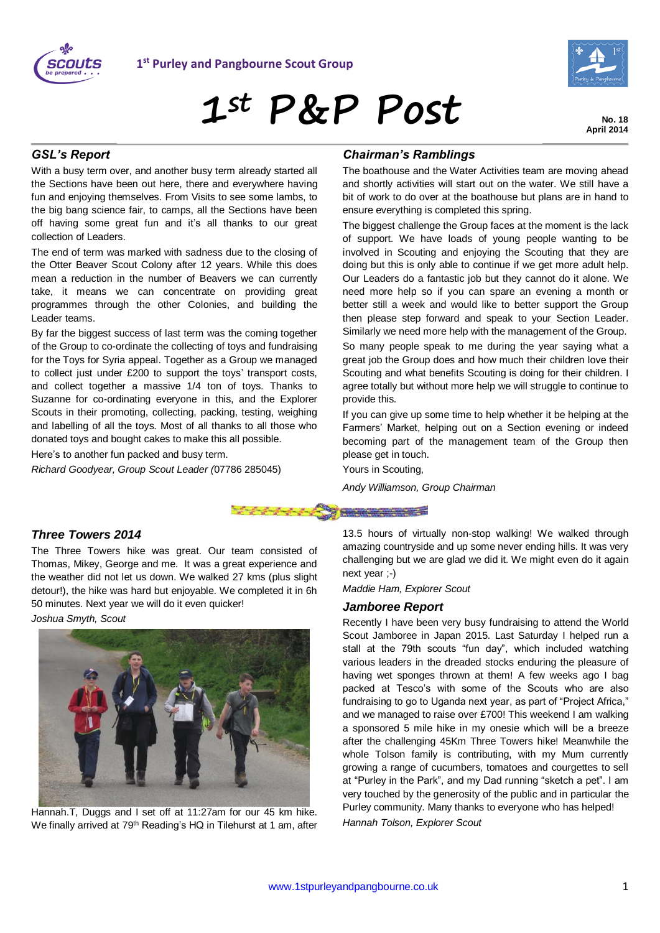



# **1st P&P Post**

**No. 18 April 2014**

### *GSL's Report*

With a busy term over, and another busy term already started all the Sections have been out here, there and everywhere having fun and enjoying themselves. From Visits to see some lambs, to the big bang science fair, to camps, all the Sections have been off having some great fun and it's all thanks to our great collection of Leaders.

The end of term was marked with sadness due to the closing of the Otter Beaver Scout Colony after 12 years. While this does mean a reduction in the number of Beavers we can currently take, it means we can concentrate on providing great programmes through the other Colonies, and building the Leader teams.

By far the biggest success of last term was the coming together of the Group to co-ordinate the collecting of toys and fundraising for the Toys for Syria appeal. Together as a Group we managed to collect just under £200 to support the toys' transport costs, and collect together a massive 1/4 ton of toys. Thanks to Suzanne for co-ordinating everyone in this, and the Explorer Scouts in their promoting, collecting, packing, testing, weighing and labelling of all the toys. Most of all thanks to all those who donated toys and bought cakes to make this all possible.

Here's to another fun packed and busy term.

*Richard Goodyear, Group Scout Leader (*07786 285045)

## *Chairman's Ramblings*

The boathouse and the Water Activities team are moving ahead and shortly activities will start out on the water. We still have a bit of work to do over at the boathouse but plans are in hand to ensure everything is completed this spring.

The biggest challenge the Group faces at the moment is the lack of support. We have loads of young people wanting to be involved in Scouting and enjoying the Scouting that they are doing but this is only able to continue if we get more adult help. Our Leaders do a fantastic job but they cannot do it alone. We need more help so if you can spare an evening a month or better still a week and would like to better support the Group then please step forward and speak to your Section Leader. Similarly we need more help with the management of the Group. So many people speak to me during the year saying what a

great job the Group does and how much their children love their Scouting and what benefits Scouting is doing for their children. I agree totally but without more help we will struggle to continue to provide this.

If you can give up some time to help whether it be helping at the Farmers' Market, helping out on a Section evening or indeed becoming part of the management team of the Group then please get in touch.

Yours in Scouting,

*Andy Williamson, Group Chairman*



### *Three Towers 2014*

The Three Towers hike was great. Our team consisted of Thomas, Mikey, George and me. It was a great experience and the weather did not let us down. We walked 27 kms (plus slight detour!), the hike was hard but enjoyable. We completed it in 6h 50 minutes. Next year we will do it even quicker!

*Joshua Smyth, Scout*



Hannah.T, Duggs and I set off at 11:27am for our 45 km hike. We finally arrived at 79<sup>th</sup> Reading's HQ in Tilehurst at 1 am, after 13.5 hours of virtually non-stop walking! We walked through amazing countryside and up some never ending hills. It was very challenging but we are glad we did it. We might even do it again next year ;-)

*Maddie Ham, Explorer Scout*

#### *Jamboree Report*

Recently I have been very busy fundraising to attend the World Scout Jamboree in Japan 2015. Last Saturday I helped run a stall at the 79th scouts "fun day", which included watching various leaders in the dreaded stocks enduring the pleasure of having wet sponges thrown at them! A few weeks ago I bag packed at Tesco's with some of the Scouts who are also fundraising to go to Uganda next year, as part of "Project Africa," and we managed to raise over £700! This weekend I am walking a sponsored 5 mile hike in my onesie which will be a breeze after the challenging 45Km Three Towers hike! Meanwhile the whole Tolson family is contributing, with my Mum currently growing a range of cucumbers, tomatoes and courgettes to sell at "Purley in the Park", and my Dad running "sketch a pet". I am very touched by the generosity of the public and in particular the Purley community. Many thanks to everyone who has helped! *Hannah Tolson, Explorer Scout*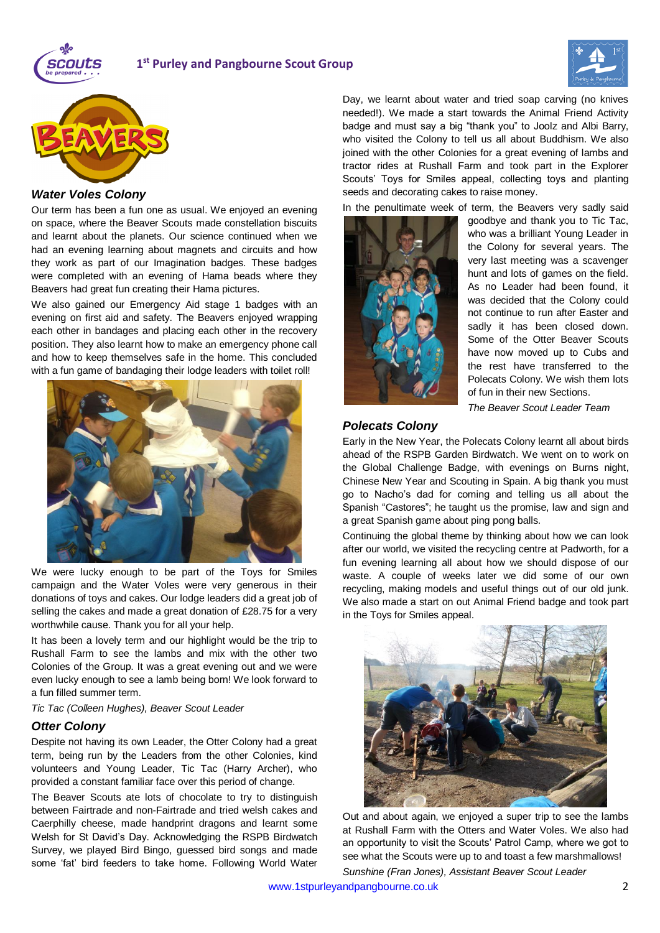





#### *Water Voles Colony*

Our term has been a fun one as usual. We enjoyed an evening on space, where the Beaver Scouts made constellation biscuits and learnt about the planets. Our science continued when we had an evening learning about magnets and circuits and how they work as part of our Imagination badges. These badges were completed with an evening of Hama beads where they Beavers had great fun creating their Hama pictures.

We also gained our Emergency Aid stage 1 badges with an evening on first aid and safety. The Beavers enjoyed wrapping each other in bandages and placing each other in the recovery position. They also learnt how to make an emergency phone call and how to keep themselves safe in the home. This concluded with a fun game of bandaging their lodge leaders with toilet roll!



We were lucky enough to be part of the Toys for Smiles campaign and the Water Voles were very generous in their donations of toys and cakes. Our lodge leaders did a great job of selling the cakes and made a great donation of £28.75 for a very worthwhile cause. Thank you for all your help.

It has been a lovely term and our highlight would be the trip to Rushall Farm to see the lambs and mix with the other two Colonies of the Group. It was a great evening out and we were even lucky enough to see a lamb being born! We look forward to a fun filled summer term.

#### *Tic Tac (Colleen Hughes), Beaver Scout Leader*

#### *Otter Colony*

Despite not having its own Leader, the Otter Colony had a great term, being run by the Leaders from the other Colonies, kind volunteers and Young Leader, Tic Tac (Harry Archer), who provided a constant familiar face over this period of change.

The Beaver Scouts ate lots of chocolate to try to distinguish between Fairtrade and non-Fairtrade and tried welsh cakes and Caerphilly cheese, made handprint dragons and learnt some Welsh for St David's Day. Acknowledging the RSPB Birdwatch Survey, we played Bird Bingo, guessed bird songs and made some 'fat' bird feeders to take home. Following World Water

Day, we learnt about water and tried soap carving (no knives needed!). We made a start towards the Animal Friend Activity badge and must say a big "thank you" to Joolz and Albi Barry, who visited the Colony to tell us all about Buddhism. We also joined with the other Colonies for a great evening of lambs and tractor rides at Rushall Farm and took part in the Explorer Scouts' Toys for Smiles appeal, collecting toys and planting seeds and decorating cakes to raise money.

In the penultimate week of term, the Beavers very sadly said



goodbye and thank you to Tic Tac, who was a brilliant Young Leader in the Colony for several years. The very last meeting was a scavenger hunt and lots of games on the field. As no Leader had been found, it was decided that the Colony could not continue to run after Easter and sadly it has been closed down. Some of the Otter Beaver Scouts have now moved up to Cubs and the rest have transferred to the Polecats Colony. We wish them lots of fun in their new Sections.

*The Beaver Scout Leader Team*

#### *Polecats Colony*

Early in the New Year, the Polecats Colony learnt all about birds ahead of the RSPB Garden Birdwatch. We went on to work on the Global Challenge Badge, with evenings on Burns night, Chinese New Year and Scouting in Spain. A big thank you must go to Nacho's dad for coming and telling us all about the Spanish "Castores"; he taught us the promise, law and sign and a great Spanish game about ping pong balls.

Continuing the global theme by thinking about how we can look after our world, we visited the recycling centre at Padworth, for a fun evening learning all about how we should dispose of our waste. A couple of weeks later we did some of our own recycling, making models and useful things out of our old junk. We also made a start on out Animal Friend badge and took part in the Toys for Smiles appeal.



Out and about again, we enjoyed a super trip to see the lambs at Rushall Farm with the Otters and Water Voles. We also had an opportunity to visit the Scouts' Patrol Camp, where we got to see what the Scouts were up to and toast a few marshmallows! *Sunshine (Fran Jones), Assistant Beaver Scout Leader*

[www.1stpurleyandpangbourne.co.uk](http://www.1stpurleyandpangbourne.co.uk/) 2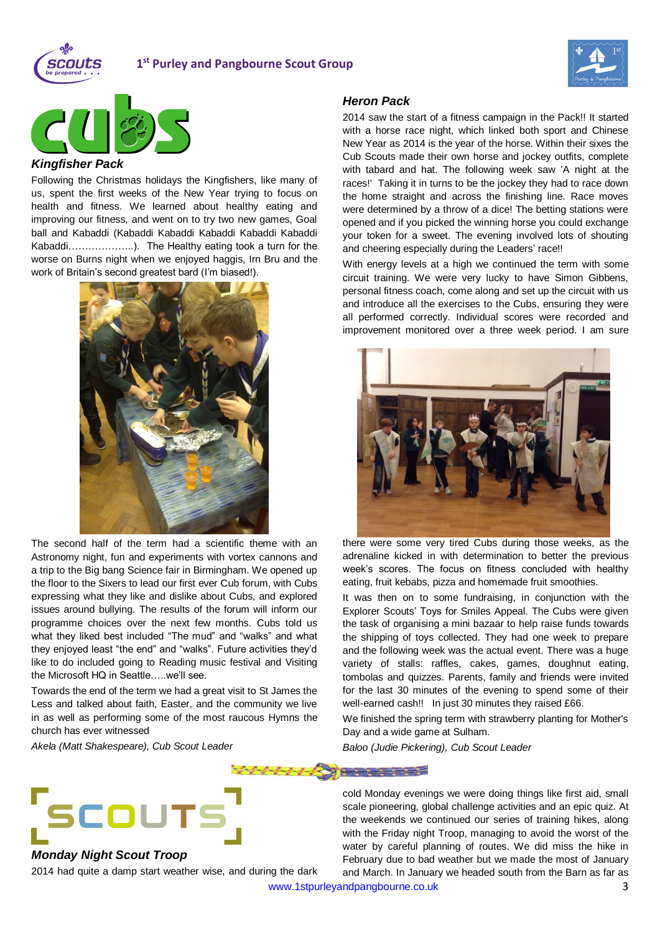

## **1 st Purley and Pangbourne Scout Group**





#### *Kingfisher Pack*

Following the Christmas holidays the Kingfishers, like many of us, spent the first weeks of the New Year trying to focus on health and fitness. We learned about healthy eating and improving our fitness, and went on to try two new games, Goal ball and Kabaddi (Kabaddi Kabaddi Kabaddi Kabaddi Kabaddi Kabaddi………………..). The Healthy eating took a turn for the worse on Burns night when we enjoyed haggis, Irn Bru and the work of Britain's second greatest bard (I'm biased!).



The second half of the term had a scientific theme with an Astronomy night, fun and experiments with vortex cannons and a trip to the Big bang Science fair in Birmingham. We opened up the floor to the Sixers to lead our first ever Cub forum, with Cubs expressing what they like and dislike about Cubs, and explored issues around bullying. The results of the forum will inform our programme choices over the next few months. Cubs told us what they liked best included "The mud" and "walks" and what they enjoyed least "the end" and "walks". Future activities they'd like to do included going to Reading music festival and Visiting the Microsoft HQ in Seattle…..we'll see.

Towards the end of the term we had a great visit to St James the Less and talked about faith, Easter, and the community we live in as well as performing some of the most raucous Hymns the church has ever witnessed

*Akela (Matt Shakespeare), Cub Scout Leader*

#### *Heron Pack*

2014 saw the start of a fitness campaign in the Pack!! It started with a horse race night, which linked both sport and Chinese New Year as 2014 is the year of the horse. Within their sixes the Cub Scouts made their own horse and jockey outfits, complete with tabard and hat. The following week saw 'A night at the races!' Taking it in turns to be the jockey they had to race down the home straight and across the finishing line. Race moves were determined by a throw of a dice! The betting stations were opened and if you picked the winning horse you could exchange your token for a sweet. The evening involved lots of shouting and cheering especially during the Leaders' race!!

With energy levels at a high we continued the term with some circuit training. We were very lucky to have Simon Gibbens, personal fitness coach, come along and set up the circuit with us and introduce all the exercises to the Cubs, ensuring they were all performed correctly. Individual scores were recorded and improvement monitored over a three week period. I am sure



there were some very tired Cubs during those weeks, as the adrenaline kicked in with determination to better the previous week's scores. The focus on fitness concluded with healthy eating, fruit kebabs, pizza and homemade fruit smoothies.

It was then on to some fundraising, in conjunction with the Explorer Scouts' Toys for Smiles Appeal. The Cubs were given the task of organising a mini bazaar to help raise funds towards the shipping of toys collected. They had one week to prepare and the following week was the actual event. There was a huge variety of stalls: raffles, cakes, games, doughnut eating, tombolas and quizzes. Parents, family and friends were invited for the last 30 minutes of the evening to spend some of their well-earned cash!! In just 30 minutes they raised £66.

We finished the spring term with strawberry planting for Mother's Day and a wide game at Sulham.

*Baloo (Judie Pickering), Cub Scout Leader*

cold Monday evenings we were doing things like first aid, small scale pioneering, global challenge activities and an epic quiz. At the weekends we continued our series of training hikes, along with the Friday night Troop, managing to avoid the worst of the water by careful planning of routes. We did miss the hike in February due to bad weather but we made the most of January and March. In January we headed south from the Barn as far as

[www.1stpurleyandpangbourne.co.uk](http://www.1stpurleyandpangbourne.co.uk/) 3



## *Monday Night Scout Troop*

2014 had quite a damp start weather wise, and during the dark